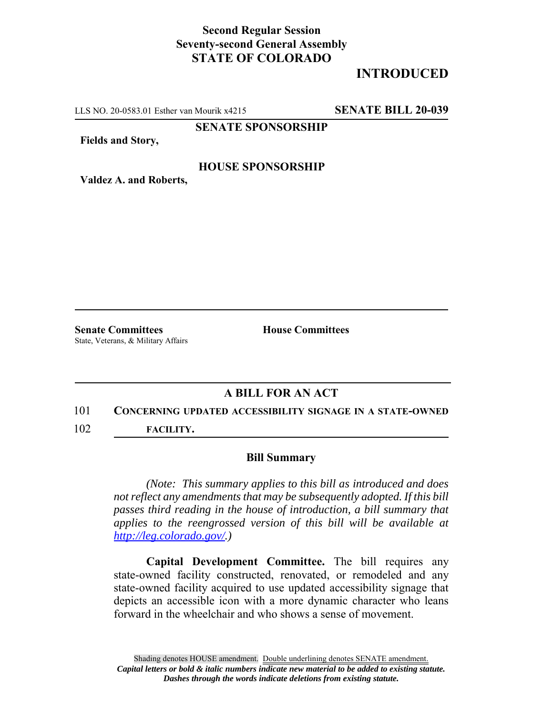## **Second Regular Session Seventy-second General Assembly STATE OF COLORADO**

# **INTRODUCED**

LLS NO. 20-0583.01 Esther van Mourik x4215 **SENATE BILL 20-039**

**SENATE SPONSORSHIP**

**Fields and Story,**

## **HOUSE SPONSORSHIP**

**Valdez A. and Roberts,**

**Senate Committees House Committees** State, Veterans, & Military Affairs

## **A BILL FOR AN ACT**

## 101 **CONCERNING UPDATED ACCESSIBILITY SIGNAGE IN A STATE-OWNED**

102 **FACILITY.**

### **Bill Summary**

*(Note: This summary applies to this bill as introduced and does not reflect any amendments that may be subsequently adopted. If this bill passes third reading in the house of introduction, a bill summary that applies to the reengrossed version of this bill will be available at http://leg.colorado.gov/.)*

**Capital Development Committee.** The bill requires any state-owned facility constructed, renovated, or remodeled and any state-owned facility acquired to use updated accessibility signage that depicts an accessible icon with a more dynamic character who leans forward in the wheelchair and who shows a sense of movement.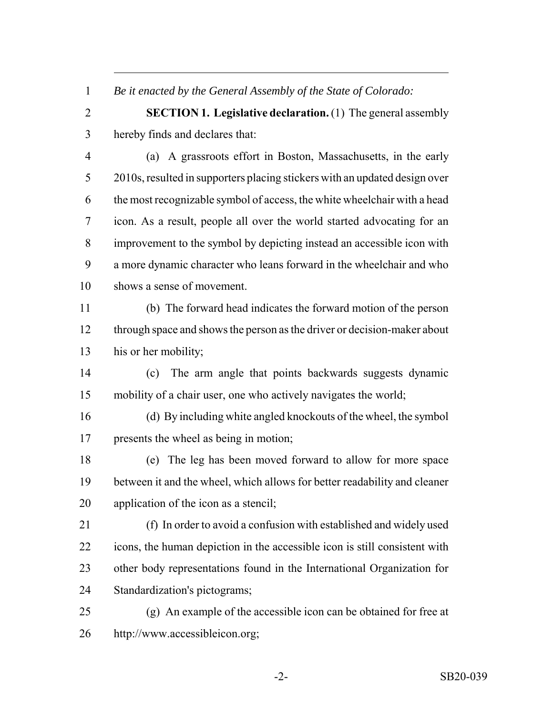*Be it enacted by the General Assembly of the State of Colorado:*

 **SECTION 1. Legislative declaration.** (1) The general assembly hereby finds and declares that:

 (a) A grassroots effort in Boston, Massachusetts, in the early 2010s, resulted in supporters placing stickers with an updated design over the most recognizable symbol of access, the white wheelchair with a head icon. As a result, people all over the world started advocating for an improvement to the symbol by depicting instead an accessible icon with a more dynamic character who leans forward in the wheelchair and who shows a sense of movement.

 (b) The forward head indicates the forward motion of the person 12 through space and shows the person as the driver or decision-maker about his or her mobility;

 (c) The arm angle that points backwards suggests dynamic mobility of a chair user, one who actively navigates the world;

 (d) By including white angled knockouts of the wheel, the symbol presents the wheel as being in motion;

 (e) The leg has been moved forward to allow for more space between it and the wheel, which allows for better readability and cleaner application of the icon as a stencil;

 (f) In order to avoid a confusion with established and widely used icons, the human depiction in the accessible icon is still consistent with other body representations found in the International Organization for Standardization's pictograms;

 (g) An example of the accessible icon can be obtained for free at http://www.accessibleicon.org;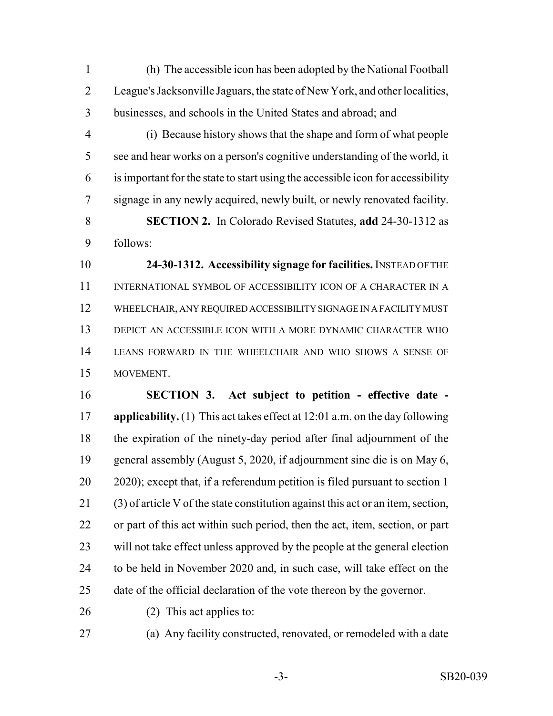(h) The accessible icon has been adopted by the National Football League's Jacksonville Jaguars, the state of New York, and other localities, businesses, and schools in the United States and abroad; and

- (i) Because history shows that the shape and form of what people see and hear works on a person's cognitive understanding of the world, it is important for the state to start using the accessible icon for accessibility signage in any newly acquired, newly built, or newly renovated facility.
- **SECTION 2.** In Colorado Revised Statutes, **add** 24-30-1312 as follows:

 **24-30-1312. Accessibility signage for facilities.** INSTEAD OF THE INTERNATIONAL SYMBOL OF ACCESSIBILITY ICON OF A CHARACTER IN A WHEELCHAIR, ANY REQUIRED ACCESSIBILITY SIGNAGE IN A FACILITY MUST DEPICT AN ACCESSIBLE ICON WITH A MORE DYNAMIC CHARACTER WHO LEANS FORWARD IN THE WHEELCHAIR AND WHO SHOWS A SENSE OF MOVEMENT.

 **SECTION 3. Act subject to petition - effective date - applicability.** (1) This act takes effect at 12:01 a.m. on the day following the expiration of the ninety-day period after final adjournment of the general assembly (August 5, 2020, if adjournment sine die is on May 6, 2020); except that, if a referendum petition is filed pursuant to section 1 (3) of article V of the state constitution against this act or an item, section, or part of this act within such period, then the act, item, section, or part will not take effect unless approved by the people at the general election to be held in November 2020 and, in such case, will take effect on the date of the official declaration of the vote thereon by the governor.

- 
- (2) This act applies to:
- 

(a) Any facility constructed, renovated, or remodeled with a date